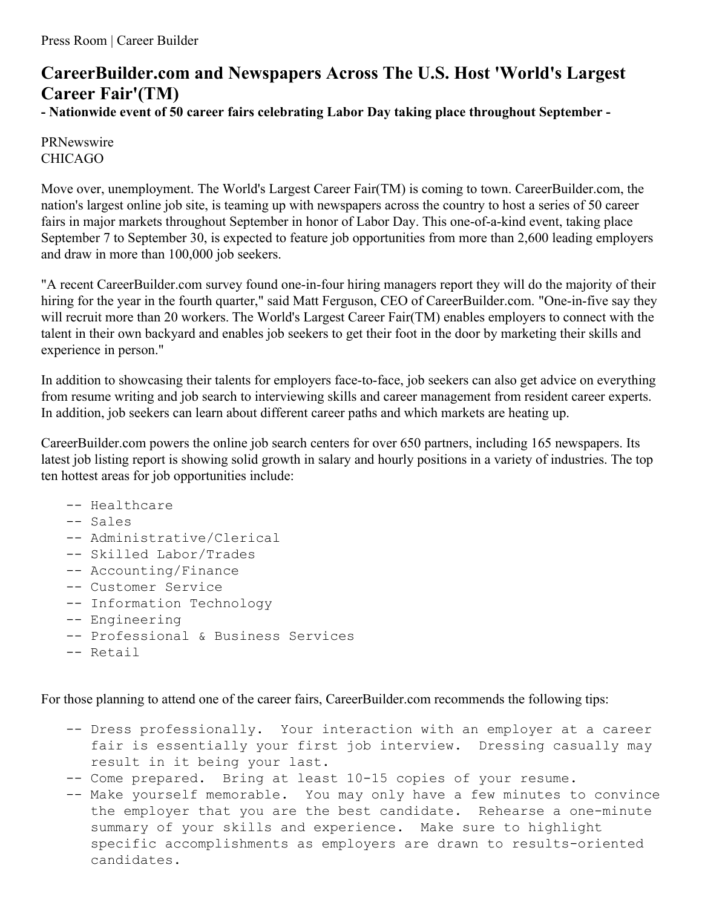## **CareerBuilder.com and Newspapers Across The U.S. Host 'World's Largest Career Fair'(TM)**

**- Nationwide event of 50 career fairs celebrating Labor Day taking place throughout September -**

PRNewswire CHICAGO

Move over, unemployment. The World's Largest Career Fair(TM) is coming to town. CareerBuilder.com, the nation's largest online job site, is teaming up with newspapers across the country to host a series of 50 career fairs in major markets throughout September in honor of Labor Day. This one-of-a-kind event, taking place September 7 to September 30, is expected to feature job opportunities from more than 2,600 leading employers and draw in more than 100,000 job seekers.

"A recent CareerBuilder.com survey found one-in-four hiring managers report they will do the majority of their hiring for the year in the fourth quarter," said Matt Ferguson, CEO of CareerBuilder.com. "One-in-five say they will recruit more than 20 workers. The World's Largest Career Fair(TM) enables employers to connect with the talent in their own backyard and enables job seekers to get their foot in the door by marketing their skills and experience in person."

In addition to showcasing their talents for employers face-to-face, job seekers can also get advice on everything from resume writing and job search to interviewing skills and career management from resident career experts. In addition, job seekers can learn about different career paths and which markets are heating up.

CareerBuilder.com powers the online job search centers for over 650 partners, including 165 newspapers. Its latest job listing report is showing solid growth in salary and hourly positions in a variety of industries. The top ten hottest areas for job opportunities include:

- -- Healthcare
- -- Sales
- -- Administrative/Clerical
- -- Skilled Labor/Trades
- -- Accounting/Finance
- -- Customer Service
- -- Information Technology
- -- Engineering
- -- Professional & Business Services
- -- Retail

For those planning to attend one of the career fairs, CareerBuilder.com recommends the following tips:

- -- Dress professionally. Your interaction with an employer at a career fair is essentially your first job interview. Dressing casually may result in it being your last.
- -- Come prepared. Bring at least 10-15 copies of your resume.
- -- Make yourself memorable. You may only have a few minutes to convince the employer that you are the best candidate. Rehearse a one-minute summary of your skills and experience. Make sure to highlight specific accomplishments as employers are drawn to results-oriented candidates.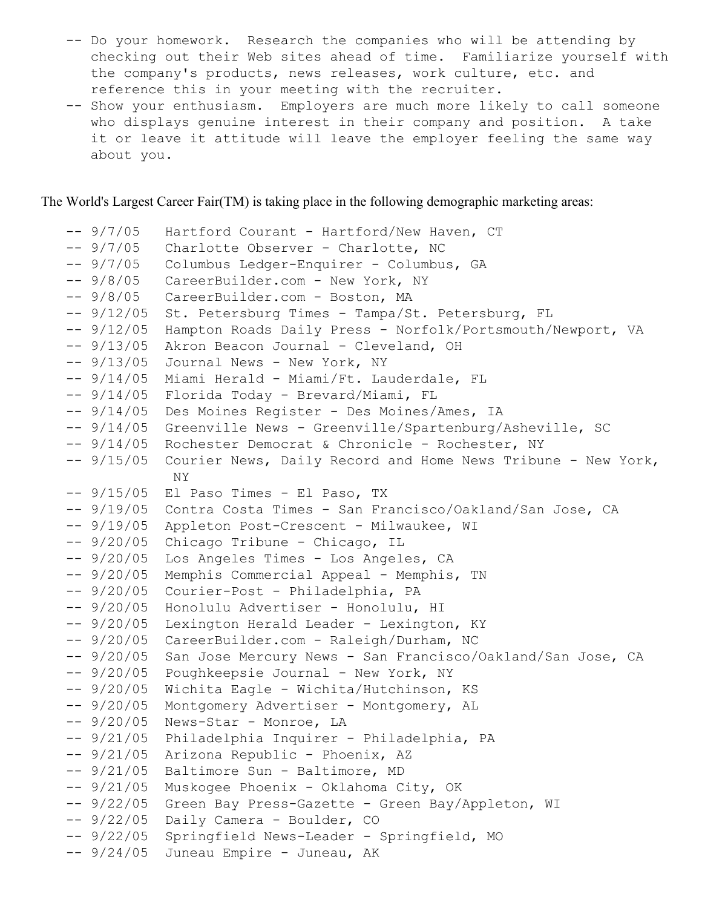- -- Do your homework. Research the companies who will be attending by checking out their Web sites ahead of time. Familiarize yourself with the company's products, news releases, work culture, etc. and reference this in your meeting with the recruiter.
- -- Show your enthusiasm. Employers are much more likely to call someone who displays genuine interest in their company and position. A take it or leave it attitude will leave the employer feeling the same way about you.

The World's Largest Career Fair(TM) is taking place in the following demographic marketing areas:

```
-- 9/7/05 Hartford Courant - Hartford/New Haven, CT
-- 9/7/05 Charlotte Observer - Charlotte, NC
-- 9/7/05 Columbus Ledger-Enquirer - Columbus, GA
-- 9/8/05 CareerBuilder.com - New York, NY
-- 9/8/05 CareerBuilder.com - Boston, MA
-- 9/12/05 St. Petersburg Times - Tampa/St. Petersburg, FL
-- 9/12/05 Hampton Roads Daily Press - Norfolk/Portsmouth/Newport, VA
-- 9/13/05 Akron Beacon Journal - Cleveland, OH
-- 9/13/05 Journal News - New York, NY
-- 9/14/05 Miami Herald - Miami/Ft. Lauderdale, FL
-- 9/14/05 Florida Today - Brevard/Miami, FL
-- 9/14/05 Des Moines Register - Des Moines/Ames, IA
-- 9/14/05 Greenville News - Greenville/Spartenburg/Asheville, SC
-- 9/14/05 Rochester Democrat & Chronicle - Rochester, NY
-- 9/15/05 Courier News, Daily Record and Home News Tribune - New York,
            NY
-- 9/15/05 El Paso Times - El Paso, TX
-- 9/19/05 Contra Costa Times - San Francisco/Oakland/San Jose, CA
-- 9/19/05 Appleton Post-Crescent - Milwaukee, WI
-- 9/20/05 Chicago Tribune - Chicago, IL
-- 9/20/05 Los Angeles Times - Los Angeles, CA
-- 9/20/05 Memphis Commercial Appeal - Memphis, TN
-- 9/20/05 Courier-Post - Philadelphia, PA
-- 9/20/05 Honolulu Advertiser - Honolulu, HI
-- 9/20/05 Lexington Herald Leader - Lexington, KY
-- 9/20/05 CareerBuilder.com - Raleigh/Durham, NC
-- 9/20/05 San Jose Mercury News - San Francisco/Oakland/San Jose, CA
-- 9/20/05 Poughkeepsie Journal - New York, NY
-- 9/20/05 Wichita Eagle - Wichita/Hutchinson, KS
-- 9/20/05 Montgomery Advertiser - Montgomery, AL
-- 9/20/05 News-Star - Monroe, LA
-- 9/21/05 Philadelphia Inquirer - Philadelphia, PA
-- 9/21/05 Arizona Republic - Phoenix, AZ
-- 9/21/05 Baltimore Sun - Baltimore, MD
-- 9/21/05 Muskogee Phoenix - Oklahoma City, OK
-- 9/22/05 Green Bay Press-Gazette - Green Bay/Appleton, WI
-- 9/22/05 Daily Camera - Boulder, CO
-- 9/22/05 Springfield News-Leader - Springfield, MO
-- 9/24/05 Juneau Empire - Juneau, AK
```